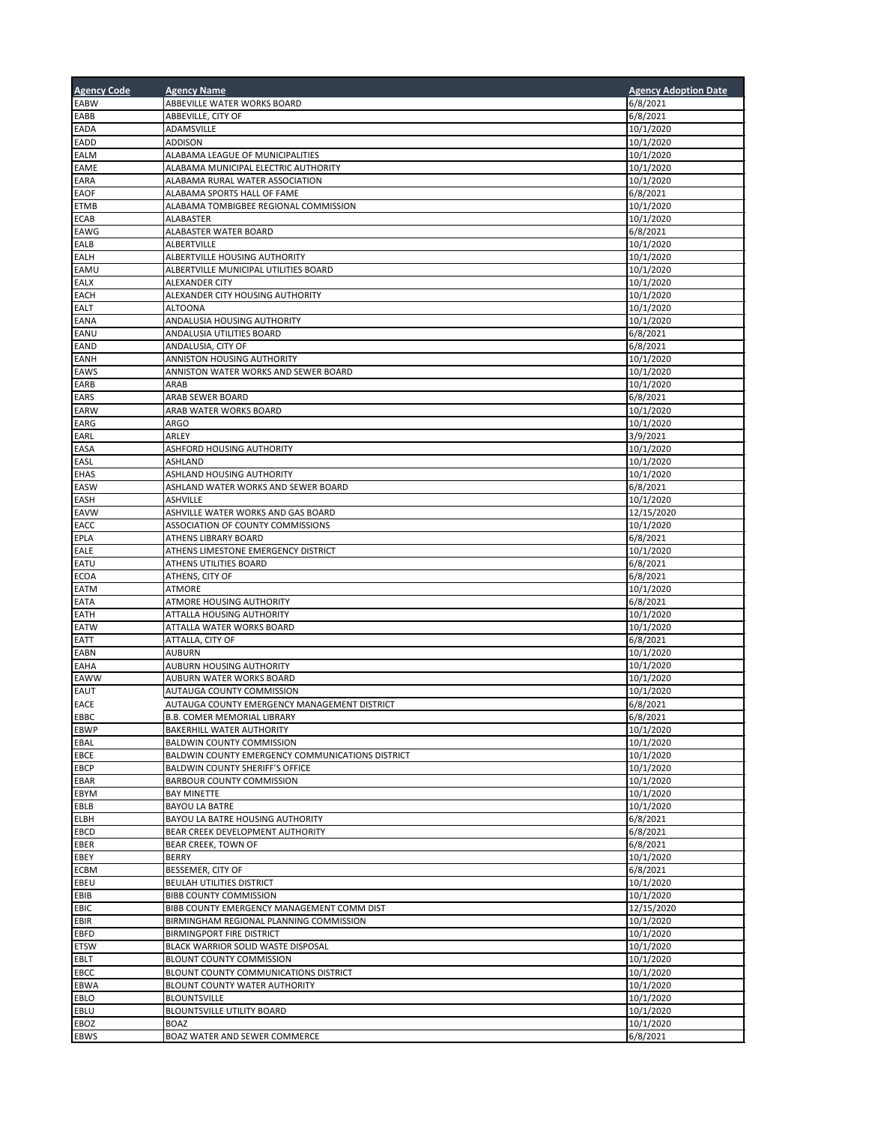| <b>Agency Code</b>         | <b>Agency Name</b>                                                       | <b>Agency Adoption Date</b> |
|----------------------------|--------------------------------------------------------------------------|-----------------------------|
| EABW                       | ABBEVILLE WATER WORKS BOARD                                              | 6/8/2021                    |
| EABB                       | ABBEVILLE, CITY OF                                                       | 6/8/2021                    |
| EADA                       | ADAMSVILLE                                                               | 10/1/2020                   |
| EADD                       | <b>ADDISON</b>                                                           | 10/1/2020                   |
| EALM<br>EAME               | ALABAMA LEAGUE OF MUNICIPALITIES<br>ALABAMA MUNICIPAL ELECTRIC AUTHORITY | 10/1/2020<br>10/1/2020      |
| EARA                       | ALABAMA RURAL WATER ASSOCIATION                                          | 10/1/2020                   |
| <b>EAOF</b>                | ALABAMA SPORTS HALL OF FAME                                              | 6/8/2021                    |
| <b>ETMB</b>                | ALABAMA TOMBIGBEE REGIONAL COMMISSION                                    | 10/1/2020                   |
| <b>ECAB</b>                | ALABASTER                                                                | 10/1/2020                   |
| EAWG                       | ALABASTER WATER BOARD                                                    | 6/8/2021                    |
| EALB                       | ALBERTVILLE                                                              | 10/1/2020                   |
| EALH<br>EAMU               | ALBERTVILLE HOUSING AUTHORITY<br>ALBERTVILLE MUNICIPAL UTILITIES BOARD   | 10/1/2020<br>10/1/2020      |
| <b>EALX</b>                | <b>ALEXANDER CITY</b>                                                    | 10/1/2020                   |
| EACH                       | ALEXANDER CITY HOUSING AUTHORITY                                         | 10/1/2020                   |
| <b>EALT</b>                | <b>ALTOONA</b>                                                           | 10/1/2020                   |
| EANA                       | ANDALUSIA HOUSING AUTHORITY                                              | 10/1/2020                   |
| EANU                       | ANDALUSIA UTILITIES BOARD                                                | 6/8/2021                    |
| <b>EAND</b>                | ANDALUSIA, CITY OF                                                       | 6/8/2021                    |
| <b>EANH</b>                | ANNISTON HOUSING AUTHORITY<br>ANNISTON WATER WORKS AND SEWER BOARD       | 10/1/2020                   |
| <b>EAWS</b><br>EARB        | ARAB                                                                     | 10/1/2020<br>10/1/2020      |
| EARS                       | ARAB SEWER BOARD                                                         | 6/8/2021                    |
| <b>EARW</b>                | ARAB WATER WORKS BOARD                                                   | 10/1/2020                   |
| EARG                       | <b>ARGO</b>                                                              | 10/1/2020                   |
| EARL                       | ARLEY                                                                    | 3/9/2021                    |
| EASA                       | ASHFORD HOUSING AUTHORITY                                                | 10/1/2020                   |
| EASL                       | <b>ASHLAND</b>                                                           | 10/1/2020                   |
| <b>EHAS</b><br>EASW        | ASHLAND HOUSING AUTHORITY<br>ASHLAND WATER WORKS AND SEWER BOARD         | 10/1/2020<br>6/8/2021       |
| EASH                       | <b>ASHVILLE</b>                                                          | 10/1/2020                   |
| EAVW                       | ASHVILLE WATER WORKS AND GAS BOARD                                       | 12/15/2020                  |
| EACC                       | ASSOCIATION OF COUNTY COMMISSIONS                                        | 10/1/2020                   |
| EPLA                       | ATHENS LIBRARY BOARD                                                     | 6/8/2021                    |
| EALE                       | ATHENS LIMESTONE EMERGENCY DISTRICT                                      | 10/1/2020                   |
| EATU                       | ATHENS UTILITIES BOARD                                                   | 6/8/2021                    |
| <b>ECOA</b><br><b>EATM</b> | ATHENS, CITY OF<br><b>ATMORE</b>                                         | 6/8/2021<br>10/1/2020       |
| EATA                       | ATMORE HOUSING AUTHORITY                                                 | 6/8/2021                    |
| <b>EATH</b>                | ATTALLA HOUSING AUTHORITY                                                | 10/1/2020                   |
| <b>EATW</b>                | ATTALLA WATER WORKS BOARD                                                | 10/1/2020                   |
| EATT                       | ATTALLA, CITY OF                                                         | 6/8/2021                    |
| EABN                       | <b>AUBURN</b>                                                            | 10/1/2020                   |
| <b>EAHA</b>                | AUBURN HOUSING AUTHORITY<br>AUBURN WATER WORKS BOARD                     | 10/1/2020                   |
| EAWW<br><b>EAUT</b>        | AUTAUGA COUNTY COMMISSION                                                | 10/1/2020<br>10/1/2020      |
| <b>EACE</b>                | AUTAUGA COUNTY EMERGENCY MANAGEMENT DISTRICT                             | 6/8/2021                    |
| EBBC                       | <b>B.B. COMER MEMORIAL LIBRARY</b>                                       | 6/8/2021                    |
| <b>EBWP</b>                | BAKERHILL WATER AUTHORITY                                                | 10/1/2020                   |
| EBAL                       | <b>BALDWIN COUNTY COMMISSION</b>                                         | 10/1/2020                   |
| EBCE                       | BALDWIN COUNTY EMERGENCY COMMUNICATIONS DISTRICT                         | 10/1/2020                   |
| EBCP<br>EBAR               | BALDWIN COUNTY SHERIFF'S OFFICE<br>BARBOUR COUNTY COMMISSION             | 10/1/2020<br>10/1/2020      |
| EBYM                       | <b>BAY MINETTE</b>                                                       | 10/1/2020                   |
| EBLB                       | <b>BAYOU LA BATRE</b>                                                    | 10/1/2020                   |
| ELBH                       | BAYOU LA BATRE HOUSING AUTHORITY                                         | 6/8/2021                    |
| EBCD                       | BEAR CREEK DEVELOPMENT AUTHORITY                                         | 6/8/2021                    |
| EBER                       | BEAR CREEK, TOWN OF                                                      | 6/8/2021                    |
| EBEY                       | <b>BERRY</b>                                                             | 10/1/2020                   |
| <b>ECBM</b><br>EBEU        | BESSEMER, CITY OF<br>BEULAH UTILITIES DISTRICT                           | 6/8/2021<br>10/1/2020       |
| EBIB                       | BIBB COUNTY COMMISSION                                                   | 10/1/2020                   |
| <b>EBIC</b>                | BIBB COUNTY EMERGENCY MANAGEMENT COMM DIST                               | 12/15/2020                  |
| EBIR                       | BIRMINGHAM REGIONAL PLANNING COMMISSION                                  | 10/1/2020                   |
| EBFD                       | BIRMINGPORT FIRE DISTRICT                                                | 10/1/2020                   |
| <b>ETSW</b>                | BLACK WARRIOR SOLID WASTE DISPOSAL                                       | 10/1/2020                   |
| EBLT                       | BLOUNT COUNTY COMMISSION                                                 | 10/1/2020                   |
| EBCC<br>EBWA               | BLOUNT COUNTY COMMUNICATIONS DISTRICT<br>BLOUNT COUNTY WATER AUTHORITY   | 10/1/2020<br>10/1/2020      |
| EBLO                       | <b>BLOUNTSVILLE</b>                                                      | 10/1/2020                   |
| EBLU                       | BLOUNTSVILLE UTILITY BOARD                                               | 10/1/2020                   |
| EBOZ                       | <b>BOAZ</b>                                                              | 10/1/2020                   |
| EBWS                       | BOAZ WATER AND SEWER COMMERCE                                            | 6/8/2021                    |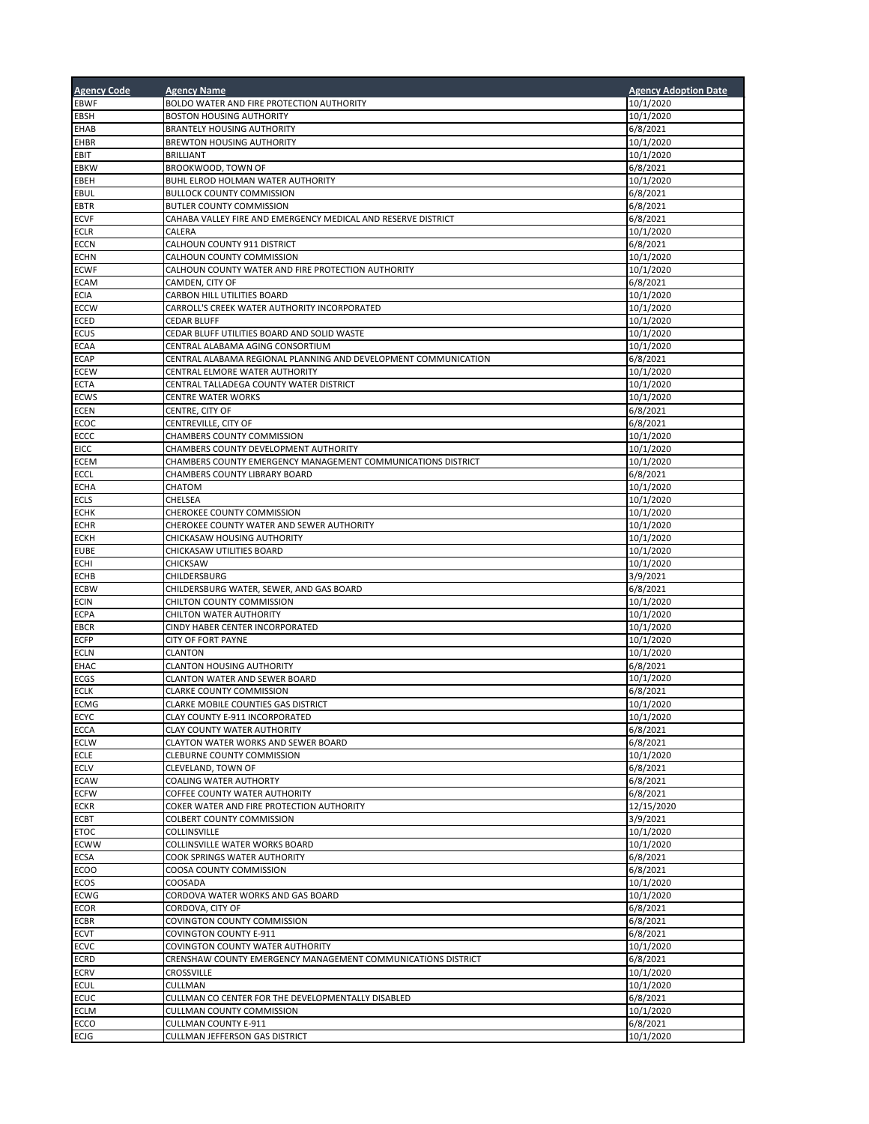| <b>Agency Code</b>         | <b>Agency Name</b>                                                      | <b>Agency Adoption Date</b> |
|----------------------------|-------------------------------------------------------------------------|-----------------------------|
| <b>EBWF</b>                | BOLDO WATER AND FIRE PROTECTION AUTHORITY                               | 10/1/2020                   |
| EBSH                       | <b>BOSTON HOUSING AUTHORITY</b>                                         | 10/1/2020                   |
| <b>EHAB</b>                | <b>BRANTELY HOUSING AUTHORITY</b>                                       | 6/8/2021                    |
| <b>EHBR</b>                | BREWTON HOUSING AUTHORITY                                               | 10/1/2020                   |
| EBIT<br><b>EBKW</b>        | <b>BRILLIANT</b><br>BROOKWOOD, TOWN OF                                  | 10/1/2020<br>6/8/2021       |
| EBEH                       | BUHL ELROD HOLMAN WATER AUTHORITY                                       | 10/1/2020                   |
| EBUL                       | <b>BULLOCK COUNTY COMMISSION</b>                                        | 6/8/2021                    |
| <b>EBTR</b>                | BUTLER COUNTY COMMISSION                                                | 6/8/2021                    |
| <b>ECVF</b>                | CAHABA VALLEY FIRE AND EMERGENCY MEDICAL AND RESERVE DISTRICT           | 6/8/2021                    |
| <b>ECLR</b>                | CALERA                                                                  | 10/1/2020                   |
| <b>ECCN</b>                | CALHOUN COUNTY 911 DISTRICT                                             | 6/8/2021                    |
| <b>ECHN</b>                | CALHOUN COUNTY COMMISSION                                               | 10/1/2020                   |
| <b>ECWF</b><br><b>ECAM</b> | CALHOUN COUNTY WATER AND FIRE PROTECTION AUTHORITY                      | 10/1/2020<br>6/8/2021       |
| <b>ECIA</b>                | CAMDEN, CITY OF<br>CARBON HILL UTILITIES BOARD                          | 10/1/2020                   |
| <b>ECCW</b>                | CARROLL'S CREEK WATER AUTHORITY INCORPORATED                            | 10/1/2020                   |
| ECED                       | <b>CEDAR BLUFF</b>                                                      | 10/1/2020                   |
| <b>ECUS</b>                | CEDAR BLUFF UTILITIES BOARD AND SOLID WASTE                             | 10/1/2020                   |
| <b>ECAA</b>                | CENTRAL ALABAMA AGING CONSORTIUM                                        | 10/1/2020                   |
| <b>ECAP</b>                | CENTRAL ALABAMA REGIONAL PLANNING AND DEVELOPMENT COMMUNICATION         | 6/8/2021                    |
| <b>ECEW</b>                | CENTRAL ELMORE WATER AUTHORITY                                          | 10/1/2020                   |
| <b>ECTA</b><br><b>ECWS</b> | CENTRAL TALLADEGA COUNTY WATER DISTRICT<br><b>CENTRE WATER WORKS</b>    | 10/1/2020<br>10/1/2020      |
| <b>ECEN</b>                | CENTRE, CITY OF                                                         | 6/8/2021                    |
| <b>ECOC</b>                | CENTREVILLE, CITY OF                                                    | 6/8/2021                    |
| ECCC                       | CHAMBERS COUNTY COMMISSION                                              | 10/1/2020                   |
| <b>EICC</b>                | CHAMBERS COUNTY DEVELOPMENT AUTHORITY                                   | 10/1/2020                   |
| <b>ECEM</b>                | CHAMBERS COUNTY EMERGENCY MANAGEMENT COMMUNICATIONS DISTRICT            | 10/1/2020                   |
| <b>ECCL</b>                | CHAMBERS COUNTY LIBRARY BOARD                                           | 6/8/2021                    |
| <b>ECHA</b>                | CHATOM                                                                  | 10/1/2020                   |
| <b>ECLS</b>                | CHELSEA                                                                 | 10/1/2020                   |
| <b>ECHK</b><br><b>ECHR</b> | CHEROKEE COUNTY COMMISSION<br>CHEROKEE COUNTY WATER AND SEWER AUTHORITY | 10/1/2020<br>10/1/2020      |
| <b>ECKH</b>                | CHICKASAW HOUSING AUTHORITY                                             | 10/1/2020                   |
| <b>EUBE</b>                | CHICKASAW UTILITIES BOARD                                               | 10/1/2020                   |
| <b>ECHI</b>                | CHICKSAW                                                                | 10/1/2020                   |
| <b>ECHB</b>                | CHILDERSBURG                                                            | 3/9/2021                    |
| <b>ECBW</b>                | CHILDERSBURG WATER, SEWER, AND GAS BOARD                                | 6/8/2021                    |
| <b>ECIN</b>                | CHILTON COUNTY COMMISSION                                               | 10/1/2020                   |
| <b>ECPA</b>                | CHILTON WATER AUTHORITY                                                 | 10/1/2020                   |
| <b>EBCR</b><br><b>ECFP</b> | CINDY HABER CENTER INCORPORATED<br><b>CITY OF FORT PAYNE</b>            | 10/1/2020<br>10/1/2020      |
| <b>ECLN</b>                | <b>CLANTON</b>                                                          | 10/1/2020                   |
| <b>EHAC</b>                | <b>CLANTON HOUSING AUTHORITY</b>                                        | 6/8/2021                    |
| <b>ECGS</b>                | CLANTON WATER AND SEWER BOARD                                           | 10/1/2020                   |
| <b>ECLK</b>                | <b>CLARKE COUNTY COMMISSION</b>                                         | 6/8/2021                    |
| <b>ECMG</b>                | CLARKE MOBILE COUNTIES GAS DISTRICT                                     | 10/1/2020                   |
| <b>ECYC</b>                | CLAY COUNTY E-911 INCORPORATED                                          | 10/1/2020                   |
| <b>ECCA</b>                | CLAY COUNTY WATER AUTHORITY                                             | 6/8/2021                    |
| <b>ECLW</b><br><b>ECLE</b> | CLAYTON WATER WORKS AND SEWER BOARD<br>CLEBURNE COUNTY COMMISSION       | 6/8/2021<br>10/1/2020       |
| <b>ECLV</b>                | CLEVELAND, TOWN OF                                                      | 6/8/2021                    |
| <b>ECAW</b>                | <b>COALING WATER AUTHORTY</b>                                           | 6/8/2021                    |
| <b>ECFW</b>                | COFFEE COUNTY WATER AUTHORITY                                           | 6/8/2021                    |
| <b>ECKR</b>                | COKER WATER AND FIRE PROTECTION AUTHORITY                               | 12/15/2020                  |
| <b>ECBT</b>                | COLBERT COUNTY COMMISSION                                               | 3/9/2021                    |
| <b>ETOC</b>                | COLLINSVILLE                                                            | 10/1/2020                   |
| <b>ECWW</b>                | COLLINSVILLE WATER WORKS BOARD<br>COOK SPRINGS WATER AUTHORITY          | 10/1/2020<br>6/8/2021       |
| <b>ECSA</b><br><b>ECOO</b> | COOSA COUNTY COMMISSION                                                 | 6/8/2021                    |
| ECOS                       | COOSADA                                                                 | 10/1/2020                   |
| <b>ECWG</b>                | CORDOVA WATER WORKS AND GAS BOARD                                       | 10/1/2020                   |
| <b>ECOR</b>                | CORDOVA, CITY OF                                                        | 6/8/2021                    |
| <b>ECBR</b>                | COVINGTON COUNTY COMMISSION                                             | 6/8/2021                    |
| <b>ECVT</b>                | COVINGTON COUNTY E-911                                                  | 6/8/2021                    |
| <b>ECVC</b>                | COVINGTON COUNTY WATER AUTHORITY                                        | 10/1/2020                   |
| ECRD                       | CRENSHAW COUNTY EMERGENCY MANAGEMENT COMMUNICATIONS DISTRICT            | 6/8/2021                    |
| <b>ECRV</b><br><b>ECUL</b> | CROSSVILLE<br>CULLMAN                                                   | 10/1/2020<br>10/1/2020      |
| <b>ECUC</b>                | CULLMAN CO CENTER FOR THE DEVELOPMENTALLY DISABLED                      | 6/8/2021                    |
| <b>ECLM</b>                | CULLMAN COUNTY COMMISSION                                               | 10/1/2020                   |
| ECCO                       | <b>CULLMAN COUNTY E-911</b>                                             | 6/8/2021                    |
| <b>ECIG</b>                | CULLMAN JEFFERSON GAS DISTRICT                                          | 10/1/2020                   |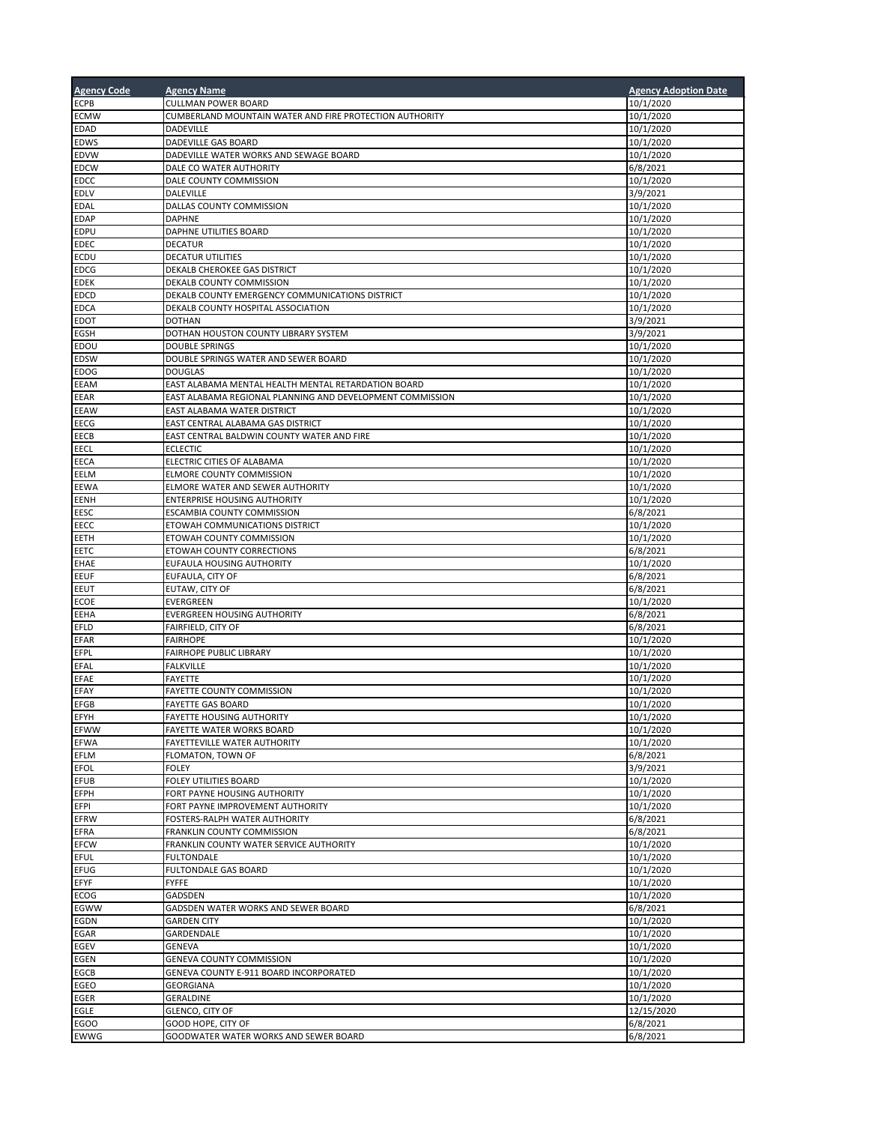| <b>Agency Code</b>         | <b>Agency Name</b>                                                | <b>Agency Adoption Date</b> |
|----------------------------|-------------------------------------------------------------------|-----------------------------|
| <b>ECPB</b>                | <b>CULLMAN POWER BOARD</b>                                        | 10/1/2020                   |
| <b>ECMW</b>                | CUMBERLAND MOUNTAIN WATER AND FIRE PROTECTION AUTHORITY           | 10/1/2020                   |
| <b>EDAD</b>                | DADEVILLE                                                         | 10/1/2020                   |
| <b>EDWS</b>                | DADEVILLE GAS BOARD                                               | 10/1/2020                   |
| <b>EDVW</b>                | DADEVILLE WATER WORKS AND SEWAGE BOARD                            | 10/1/2020                   |
| <b>EDCW</b>                | DALE CO WATER AUTHORITY                                           | 6/8/2021                    |
| <b>EDCC</b>                | DALE COUNTY COMMISSION                                            | 10/1/2020                   |
| <b>EDLV</b>                | DALEVILLE                                                         | 3/9/2021                    |
| <b>EDAL</b><br><b>EDAP</b> | DALLAS COUNTY COMMISSION<br><b>DAPHNE</b>                         | 10/1/2020<br>10/1/2020      |
| <b>EDPU</b>                | DAPHNE UTILITIES BOARD                                            | 10/1/2020                   |
| <b>EDEC</b>                | <b>DECATUR</b>                                                    | 10/1/2020                   |
| <b>ECDU</b>                | <b>DECATUR UTILITIES</b>                                          | 10/1/2020                   |
| <b>EDCG</b>                | DEKALB CHEROKEE GAS DISTRICT                                      | 10/1/2020                   |
| <b>EDEK</b>                | DEKALB COUNTY COMMISSION                                          | 10/1/2020                   |
| <b>EDCD</b>                | DEKALB COUNTY EMERGENCY COMMUNICATIONS DISTRICT                   | 10/1/2020                   |
| <b>EDCA</b>                | DEKALB COUNTY HOSPITAL ASSOCIATION                                | 10/1/2020                   |
| <b>EDOT</b>                | <b>DOTHAN</b>                                                     | 3/9/2021                    |
| EGSH                       | DOTHAN HOUSTON COUNTY LIBRARY SYSTEM                              | 3/9/2021                    |
| EDOU<br><b>EDSW</b>        | <b>DOUBLE SPRINGS</b><br>DOUBLE SPRINGS WATER AND SEWER BOARD     | 10/1/2020<br>10/1/2020      |
| <b>EDOG</b>                | <b>DOUGLAS</b>                                                    | 10/1/2020                   |
| <b>EEAM</b>                | EAST ALABAMA MENTAL HEALTH MENTAL RETARDATION BOARD               | 10/1/2020                   |
| EEAR                       | EAST ALABAMA REGIONAL PLANNING AND DEVELOPMENT COMMISSION         | 10/1/2020                   |
| <b>EEAW</b>                | EAST ALABAMA WATER DISTRICT                                       | 10/1/2020                   |
| EECG                       | EAST CENTRAL ALABAMA GAS DISTRICT                                 | 10/1/2020                   |
| EECB                       | EAST CENTRAL BALDWIN COUNTY WATER AND FIRE                        | 10/1/2020                   |
| EECL                       | <b>ECLECTIC</b>                                                   | 10/1/2020                   |
| EECA                       | ELECTRIC CITIES OF ALABAMA                                        | 10/1/2020                   |
| EELM                       | ELMORE COUNTY COMMISSION                                          | 10/1/2020                   |
| <b>EEWA</b>                | ELMORE WATER AND SEWER AUTHORITY                                  | 10/1/2020                   |
| <b>EENH</b><br>EESC        | <b>ENTERPRISE HOUSING AUTHORITY</b><br>ESCAMBIA COUNTY COMMISSION | 10/1/2020<br>6/8/2021       |
| EECC                       | ETOWAH COMMUNICATIONS DISTRICT                                    | 10/1/2020                   |
| EETH                       | ETOWAH COUNTY COMMISSION                                          | 10/1/2020                   |
| EETC                       | ETOWAH COUNTY CORRECTIONS                                         | 6/8/2021                    |
| <b>EHAE</b>                | EUFAULA HOUSING AUTHORITY                                         | 10/1/2020                   |
| <b>EEUF</b>                | EUFAULA, CITY OF                                                  | 6/8/2021                    |
| EEUT                       | EUTAW, CITY OF                                                    | 6/8/2021                    |
| <b>ECOE</b>                | EVERGREEN                                                         | 10/1/2020                   |
| EEHA                       | EVERGREEN HOUSING AUTHORITY                                       | 6/8/2021                    |
| EFLD                       | FAIRFIELD, CITY OF                                                | 6/8/2021                    |
| <b>EFAR</b><br>EFPL        | <b>FAIRHOPE</b><br><b>FAIRHOPE PUBLIC LIBRARY</b>                 | 10/1/2020<br>10/1/2020      |
| EFAL                       | <b>FALKVILLE</b>                                                  | 10/1/2020                   |
| EFAE                       | <b>FAYETTE</b>                                                    | 10/1/2020                   |
| EFAY                       | <b>FAYETTE COUNTY COMMISSION</b>                                  | 10/1/2020                   |
| <b>EFGB</b>                | <b>FAYETTE GAS BOARD</b>                                          | 10/1/2020                   |
| EFYH                       | FAYETTE HOUSING AUTHORITY                                         | 10/1/2020                   |
| EFWW                       | FAYETTE WATER WORKS BOARD                                         | 10/1/2020                   |
| <b>EFWA</b>                | FAYETTEVILLE WATER AUTHORITY                                      | 10/1/2020                   |
| EFLM                       | FLOMATON, TOWN OF                                                 | 6/8/2021                    |
| <b>EFOL</b><br><b>EFUB</b> | FOLEY<br>FOLEY UTILITIES BOARD                                    | 3/9/2021<br>10/1/2020       |
| EFPH                       | FORT PAYNE HOUSING AUTHORITY                                      | 10/1/2020                   |
| EFPI                       | FORT PAYNE IMPROVEMENT AUTHORITY                                  | 10/1/2020                   |
| <b>EFRW</b>                | FOSTERS-RALPH WATER AUTHORITY                                     | 6/8/2021                    |
| EFRA                       | FRANKLIN COUNTY COMMISSION                                        | 6/8/2021                    |
| <b>EFCW</b>                | FRANKLIN COUNTY WATER SERVICE AUTHORITY                           | 10/1/2020                   |
| <b>EFUL</b>                | <b>FULTONDALE</b>                                                 | 10/1/2020                   |
| EFUG                       | <b>FULTONDALE GAS BOARD</b>                                       | 10/1/2020                   |
| EFYF                       | <b>FYFFE</b>                                                      | 10/1/2020                   |
| ECOG                       | GADSDEN                                                           | 10/1/2020                   |
| EGWW<br>EGDN               | GADSDEN WATER WORKS AND SEWER BOARD<br><b>GARDEN CITY</b>         | 6/8/2021<br>10/1/2020       |
| EGAR                       | GARDENDALE                                                        | 10/1/2020                   |
| EGEV                       | GENEVA                                                            | 10/1/2020                   |
| EGEN                       | GENEVA COUNTY COMMISSION                                          | 10/1/2020                   |
| EGCB                       | GENEVA COUNTY E-911 BOARD INCORPORATED                            | 10/1/2020                   |
| <b>EGEO</b>                | GEORGIANA                                                         | 10/1/2020                   |
| EGER                       | GERALDINE                                                         | 10/1/2020                   |
| EGLE                       | GLENCO, CITY OF                                                   | 12/15/2020                  |
| EGOO                       | GOOD HOPE, CITY OF                                                | 6/8/2021                    |
| <b>EWWG</b>                | GOODWATER WATER WORKS AND SEWER BOARD                             | 6/8/2021                    |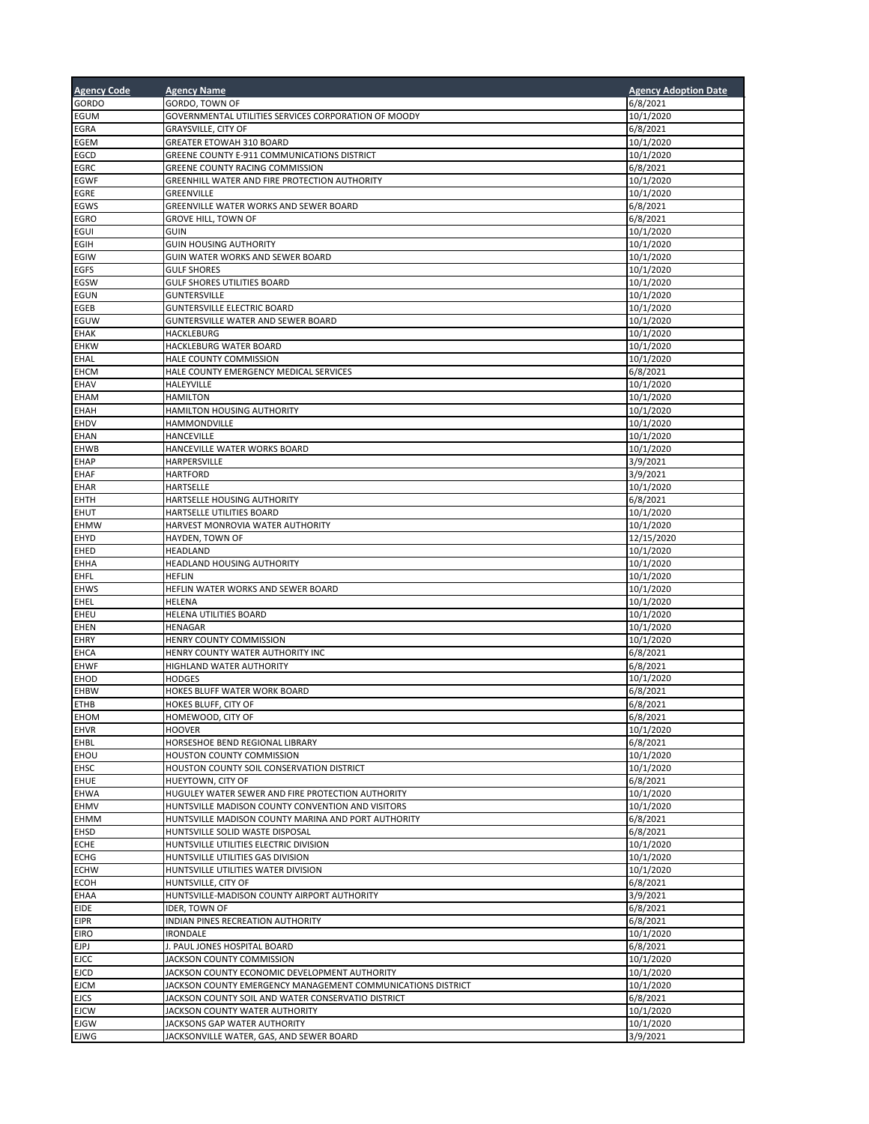| <b>Agency Code</b>         | <b>Agency Name</b>                                                                                       | <b>Agency Adoption Date</b> |
|----------------------------|----------------------------------------------------------------------------------------------------------|-----------------------------|
| <b>GORDO</b>               | GORDO, TOWN OF                                                                                           | 6/8/2021                    |
| <b>EGUM</b>                | GOVERNMENTAL UTILITIES SERVICES CORPORATION OF MOODY                                                     | 10/1/2020                   |
| EGRA                       | <b>GRAYSVILLE, CITY OF</b>                                                                               | 6/8/2021                    |
| <b>EGEM</b>                | GREATER ETOWAH 310 BOARD                                                                                 | 10/1/2020                   |
| <b>EGCD</b>                | GREENE COUNTY E-911 COMMUNICATIONS DISTRICT                                                              | 10/1/2020                   |
| <b>EGRC</b>                | GREENE COUNTY RACING COMMISSION                                                                          | 6/8/2021                    |
| <b>EGWF</b>                | GREENHILL WATER AND FIRE PROTECTION AUTHORITY                                                            | 10/1/2020                   |
| <b>EGRE</b>                | GREENVILLE                                                                                               | 10/1/2020                   |
| EGWS                       | GREENVILLE WATER WORKS AND SEWER BOARD<br><b>GROVE HILL, TOWN OF</b>                                     | 6/8/2021                    |
| EGRO<br>EGUI               | <b>GUIN</b>                                                                                              | 6/8/2021<br>10/1/2020       |
| EGIH                       | <b>GUIN HOUSING AUTHORITY</b>                                                                            | 10/1/2020                   |
| EGIW                       | GUIN WATER WORKS AND SEWER BOARD                                                                         | 10/1/2020                   |
| EGFS                       | <b>GULF SHORES</b>                                                                                       | 10/1/2020                   |
| EGSW                       | <b>GULF SHORES UTILITIES BOARD</b>                                                                       | 10/1/2020                   |
| <b>EGUN</b>                | <b>GUNTERSVILLE</b>                                                                                      | 10/1/2020                   |
| EGEB                       | <b>GUNTERSVILLE ELECTRIC BOARD</b>                                                                       | 10/1/2020                   |
| EGUW                       | <b>GUNTERSVILLE WATER AND SEWER BOARD</b>                                                                | 10/1/2020                   |
| <b>EHAK</b>                | HACKLEBURG                                                                                               | 10/1/2020                   |
| <b>EHKW</b>                | HACKLEBURG WATER BOARD                                                                                   | 10/1/2020                   |
| EHAL                       | HALE COUNTY COMMISSION                                                                                   | 10/1/2020                   |
| <b>EHCM</b>                | HALE COUNTY EMERGENCY MEDICAL SERVICES                                                                   | 6/8/2021                    |
| <b>EHAV</b>                | HALEYVILLE                                                                                               | 10/1/2020                   |
| <b>EHAM</b>                | <b>HAMILTON</b>                                                                                          | 10/1/2020                   |
| <b>EHAH</b><br><b>EHDV</b> | HAMILTON HOUSING AUTHORITY<br><b>HAMMONDVILLE</b>                                                        | 10/1/2020<br>10/1/2020      |
| <b>EHAN</b>                | HANCEVILLE                                                                                               | 10/1/2020                   |
| <b>EHWB</b>                | HANCEVILLE WATER WORKS BOARD                                                                             | 10/1/2020                   |
| <b>EHAP</b>                | HARPERSVILLE                                                                                             | 3/9/2021                    |
| <b>EHAF</b>                | <b>HARTFORD</b>                                                                                          | 3/9/2021                    |
| <b>EHAR</b>                | HARTSELLE                                                                                                | 10/1/2020                   |
| <b>EHTH</b>                | HARTSELLE HOUSING AUTHORITY                                                                              | 6/8/2021                    |
| <b>EHUT</b>                | HARTSELLE UTILITIES BOARD                                                                                | 10/1/2020                   |
| <b>EHMW</b>                | HARVEST MONROVIA WATER AUTHORITY                                                                         | 10/1/2020                   |
| <b>EHYD</b>                | HAYDEN, TOWN OF                                                                                          | 12/15/2020                  |
| <b>EHED</b>                | HEADLAND                                                                                                 | 10/1/2020                   |
| <b>EHHA</b>                | HEADLAND HOUSING AUTHORITY                                                                               | 10/1/2020                   |
| <b>EHFL</b>                | <b>HEFLIN</b>                                                                                            | 10/1/2020                   |
| <b>EHWS</b>                | HEFLIN WATER WORKS AND SEWER BOARD                                                                       | 10/1/2020                   |
| EHEL                       | <b>HELENA</b>                                                                                            | 10/1/2020                   |
| EHEU                       | HELENA UTILITIES BOARD                                                                                   | 10/1/2020                   |
| <b>EHEN</b><br>EHRY        | <b>HENAGAR</b><br>HENRY COUNTY COMMISSION                                                                | 10/1/2020<br>10/1/2020      |
| <b>EHCA</b>                | HENRY COUNTY WATER AUTHORITY INC                                                                         | 6/8/2021                    |
| <b>EHWF</b>                | HIGHLAND WATER AUTHORITY                                                                                 | 6/8/2021                    |
| <b>EHOD</b>                | <b>HODGES</b>                                                                                            | 10/1/2020                   |
| <b>EHBW</b>                | HOKES BLUFF WATER WORK BOARD                                                                             | 6/8/2021                    |
| <b>ETHB</b>                | HOKES BLUFF, CITY OF                                                                                     | 6/8/2021                    |
| EHOM                       | HOMEWOOD, CITY OF                                                                                        | 6/8/2021                    |
| <b>EHVR</b>                | <b>HOOVER</b>                                                                                            | 10/1/2020                   |
| EHBL                       | HORSESHOE BEND REGIONAL LIBRARY                                                                          | 6/8/2021                    |
| EHOU                       | HOUSTON COUNTY COMMISSION                                                                                | 10/1/2020                   |
| EHSC                       | HOUSTON COUNTY SOIL CONSERVATION DISTRICT                                                                | 10/1/2020                   |
| <b>EHUE</b><br><b>EHWA</b> | HUEYTOWN, CITY OF                                                                                        | 6/8/2021                    |
|                            | HUGULEY WATER SEWER AND FIRE PROTECTION AUTHORITY                                                        | 10/1/2020<br>10/1/2020      |
| <b>EHMV</b><br><b>EHMM</b> | HUNTSVILLE MADISON COUNTY CONVENTION AND VISITORS<br>HUNTSVILLE MADISON COUNTY MARINA AND PORT AUTHORITY | 6/8/2021                    |
| <b>EHSD</b>                | HUNTSVILLE SOLID WASTE DISPOSAL                                                                          | 6/8/2021                    |
| <b>ECHE</b>                | HUNTSVILLE UTILITIES ELECTRIC DIVISION                                                                   | 10/1/2020                   |
| <b>ECHG</b>                | HUNTSVILLE UTILITIES GAS DIVISION                                                                        | 10/1/2020                   |
| <b>ECHW</b>                | HUNTSVILLE UTILITIES WATER DIVISION                                                                      | 10/1/2020                   |
| <b>ECOH</b>                | HUNTSVILLE, CITY OF                                                                                      | 6/8/2021                    |
| <b>EHAA</b>                | HUNTSVILLE-MADISON COUNTY AIRPORT AUTHORITY                                                              | 3/9/2021                    |
| EIDE                       | <b>IDER, TOWN OF</b>                                                                                     | 6/8/2021                    |
| <b>EIPR</b>                | INDIAN PINES RECREATION AUTHORITY                                                                        | 6/8/2021                    |
| <b>EIRO</b>                | <b>IRONDALE</b>                                                                                          | 10/1/2020                   |
| <b>EJPJ</b>                | J. PAUL JONES HOSPITAL BOARD                                                                             | 6/8/2021                    |
| <b>EJCC</b>                | JACKSON COUNTY COMMISSION                                                                                | 10/1/2020                   |
| <b>EJCD</b>                | JACKSON COUNTY ECONOMIC DEVELOPMENT AUTHORITY                                                            | 10/1/2020                   |
| <b>EJCM</b>                | JACKSON COUNTY EMERGENCY MANAGEMENT COMMUNICATIONS DISTRICT                                              | 10/1/2020                   |
| <b>EJCS</b>                | JACKSON COUNTY SOIL AND WATER CONSERVATIO DISTRICT                                                       | 6/8/2021                    |
| <b>EJCW</b><br>EJGW        | JACKSON COUNTY WATER AUTHORITY<br>JACKSONS GAP WATER AUTHORITY                                           | 10/1/2020<br>10/1/2020      |
| <b>EJWG</b>                | JACKSONVILLE WATER, GAS, AND SEWER BOARD                                                                 | 3/9/2021                    |
|                            |                                                                                                          |                             |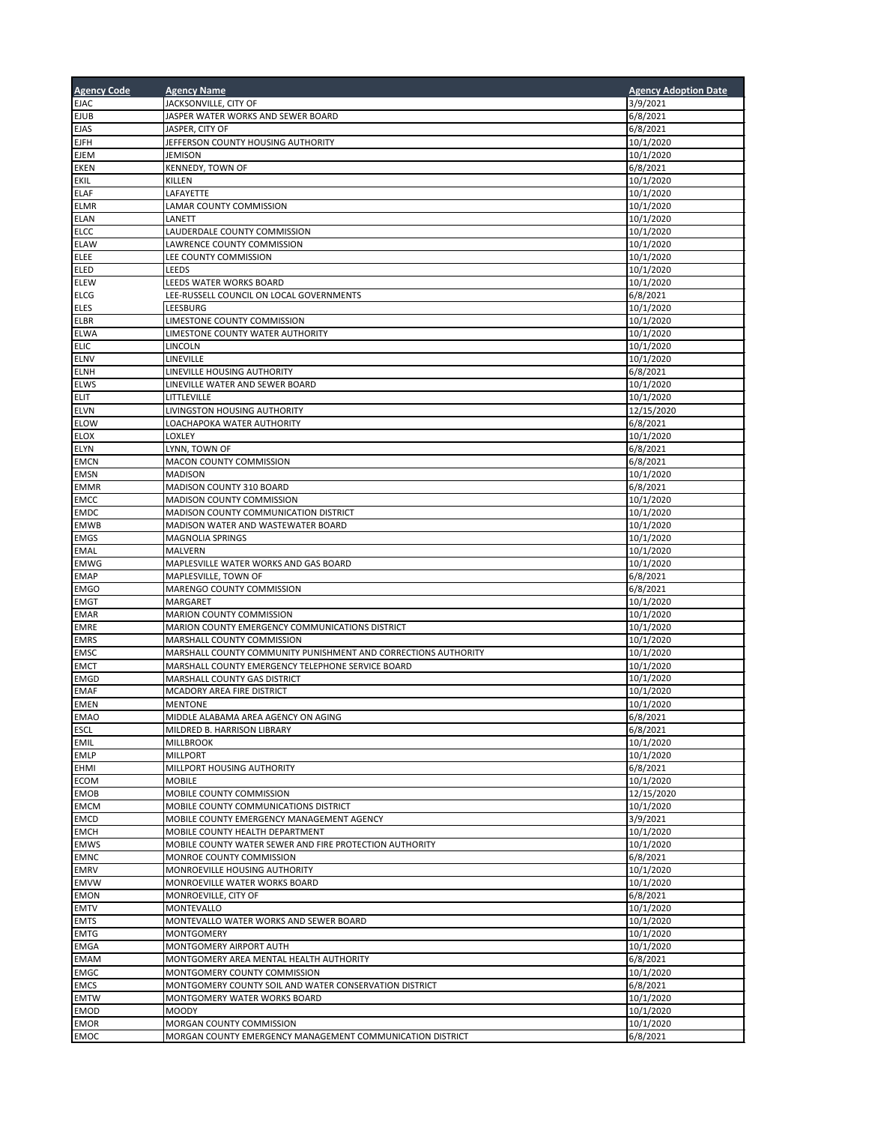| <b>Agency Code</b>         | <b>Agency Name</b>                                                                 | <b>Agency Adoption Date</b> |
|----------------------------|------------------------------------------------------------------------------------|-----------------------------|
| <b>EJAC</b>                | JACKSONVILLE, CITY OF                                                              | 3/9/2021                    |
| <b>EJUB</b>                | JASPER WATER WORKS AND SEWER BOARD                                                 | 6/8/2021                    |
| <b>EJAS</b>                | JASPER, CITY OF                                                                    | 6/8/2021                    |
| <b>EJFH</b>                | JEFFERSON COUNTY HOUSING AUTHORITY                                                 | 10/1/2020                   |
| <b>EJEM</b>                | <b>JEMISON</b>                                                                     | 10/1/2020                   |
| <b>EKEN</b>                | KENNEDY, TOWN OF                                                                   | 6/8/2021                    |
| EKIL                       | KILLEN                                                                             | 10/1/2020                   |
| <b>ELAF</b>                | LAFAYETTE                                                                          | 10/1/2020                   |
| <b>ELMR</b>                | LAMAR COUNTY COMMISSION<br>LANETT                                                  | 10/1/2020                   |
| <b>ELAN</b><br><b>ELCC</b> | LAUDERDALE COUNTY COMMISSION                                                       | 10/1/2020<br>10/1/2020      |
| <b>ELAW</b>                | LAWRENCE COUNTY COMMISSION                                                         | 10/1/2020                   |
| ELEE                       | LEE COUNTY COMMISSION                                                              | 10/1/2020                   |
| <b>ELED</b>                | LEEDS                                                                              | 10/1/2020                   |
| ELEW                       | LEEDS WATER WORKS BOARD                                                            | 10/1/2020                   |
| <b>ELCG</b>                | LEE-RUSSELL COUNCIL ON LOCAL GOVERNMENTS                                           | 6/8/2021                    |
| <b>ELES</b>                | LEESBURG                                                                           | 10/1/2020                   |
| <b>ELBR</b>                | LIMESTONE COUNTY COMMISSION                                                        | 10/1/2020                   |
| <b>ELWA</b>                | LIMESTONE COUNTY WATER AUTHORITY                                                   | 10/1/2020                   |
| <b>ELIC</b>                | LINCOLN                                                                            | 10/1/2020                   |
| <b>ELNV</b>                | LINEVILLE                                                                          | 10/1/2020                   |
| <b>ELNH</b>                | LINEVILLE HOUSING AUTHORITY                                                        | 6/8/2021                    |
| <b>ELWS</b>                | LINEVILLE WATER AND SEWER BOARD                                                    | 10/1/2020                   |
| <b>ELIT</b>                | LITTLEVILLE                                                                        | 10/1/2020                   |
| <b>ELVN</b>                | LIVINGSTON HOUSING AUTHORITY<br>LOACHAPOKA WATER AUTHORITY                         | 12/15/2020                  |
| <b>ELOW</b><br><b>ELOX</b> | LOXLEY                                                                             | 6/8/2021<br>10/1/2020       |
| <b>ELYN</b>                | LYNN, TOWN OF                                                                      | 6/8/2021                    |
| <b>EMCN</b>                | MACON COUNTY COMMISSION                                                            | 6/8/2021                    |
| <b>EMSN</b>                | <b>MADISON</b>                                                                     | 10/1/2020                   |
| <b>EMMR</b>                | MADISON COUNTY 310 BOARD                                                           | 6/8/2021                    |
| <b>EMCC</b>                | MADISON COUNTY COMMISSION                                                          | 10/1/2020                   |
| <b>EMDC</b>                | MADISON COUNTY COMMUNICATION DISTRICT                                              | 10/1/2020                   |
| <b>EMWB</b>                | MADISON WATER AND WASTEWATER BOARD                                                 | 10/1/2020                   |
| <b>EMGS</b>                | <b>MAGNOLIA SPRINGS</b>                                                            | 10/1/2020                   |
| <b>EMAL</b>                | MALVERN                                                                            | 10/1/2020                   |
| <b>EMWG</b>                | MAPLESVILLE WATER WORKS AND GAS BOARD                                              | 10/1/2020                   |
| <b>EMAP</b>                | MAPLESVILLE, TOWN OF                                                               | 6/8/2021                    |
| <b>EMGO</b>                | MARENGO COUNTY COMMISSION                                                          | 6/8/2021                    |
| <b>EMGT</b>                | MARGARET                                                                           | 10/1/2020                   |
| <b>EMAR</b><br><b>EMRE</b> | MARION COUNTY COMMISSION<br>MARION COUNTY EMERGENCY COMMUNICATIONS DISTRICT        | 10/1/2020<br>10/1/2020      |
| <b>EMRS</b>                | MARSHALL COUNTY COMMISSION                                                         | 10/1/2020                   |
| <b>EMSC</b>                | MARSHALL COUNTY COMMUNITY PUNISHMENT AND CORRECTIONS AUTHORITY                     | 10/1/2020                   |
| <b>EMCT</b>                | MARSHALL COUNTY EMERGENCY TELEPHONE SERVICE BOARD                                  | 10/1/2020                   |
| <b>EMGD</b>                | MARSHALL COUNTY GAS DISTRICT                                                       | 10/1/2020                   |
| <b>EMAF</b>                | MCADORY AREA FIRE DISTRICT                                                         | 10/1/2020                   |
| <b>EMEN</b>                | <b>MENTONE</b>                                                                     | 10/1/2020                   |
| <b>EMAO</b>                | MIDDLE ALABAMA AREA AGENCY ON AGING                                                | 6/8/2021                    |
| <b>ESCL</b>                | MILDRED B. HARRISON LIBRARY                                                        | 6/8/2021                    |
| <b>EMIL</b>                | <b>MILLBROOK</b>                                                                   | 10/1/2020                   |
| <b>EMLP</b>                | <b>MILLPORT</b>                                                                    | 10/1/2020                   |
| <b>EHMI</b>                | MILLPORT HOUSING AUTHORITY                                                         | 6/8/2021                    |
| <b>ECOM</b>                | <b>MOBILE</b>                                                                      | 10/1/2020                   |
| <b>EMOB</b>                | MOBILE COUNTY COMMISSION                                                           | 12/15/2020                  |
| <b>EMCM</b><br><b>EMCD</b> | MOBILE COUNTY COMMUNICATIONS DISTRICT<br>MOBILE COUNTY EMERGENCY MANAGEMENT AGENCY | 10/1/2020<br>3/9/2021       |
| <b>EMCH</b>                | MOBILE COUNTY HEALTH DEPARTMENT                                                    | 10/1/2020                   |
| <b>EMWS</b>                | MOBILE COUNTY WATER SEWER AND FIRE PROTECTION AUTHORITY                            | 10/1/2020                   |
| <b>EMNC</b>                | MONROE COUNTY COMMISSION                                                           | 6/8/2021                    |
| <b>EMRV</b>                | MONROEVILLE HOUSING AUTHORITY                                                      | 10/1/2020                   |
| <b>EMVW</b>                | MONROEVILLE WATER WORKS BOARD                                                      | 10/1/2020                   |
| <b>EMON</b>                | MONROEVILLE, CITY OF                                                               | 6/8/2021                    |
| <b>EMTV</b>                | MONTEVALLO                                                                         | 10/1/2020                   |
| <b>EMTS</b>                | MONTEVALLO WATER WORKS AND SEWER BOARD                                             | 10/1/2020                   |
| <b>EMTG</b>                | MONTGOMERY                                                                         | 10/1/2020                   |
| <b>EMGA</b>                | MONTGOMERY AIRPORT AUTH                                                            | 10/1/2020                   |
| <b>EMAM</b>                | MONTGOMERY AREA MENTAL HEALTH AUTHORITY                                            | 6/8/2021                    |
| <b>EMGC</b>                | MONTGOMERY COUNTY COMMISSION                                                       | 10/1/2020                   |
| <b>EMCS</b>                | MONTGOMERY COUNTY SOIL AND WATER CONSERVATION DISTRICT                             | 6/8/2021                    |
| <b>EMTW</b>                | MONTGOMERY WATER WORKS BOARD                                                       | 10/1/2020                   |
| <b>EMOD</b><br><b>EMOR</b> | <b>MOODY</b><br>MORGAN COUNTY COMMISSION                                           | 10/1/2020<br>10/1/2020      |
| <b>EMOC</b>                | MORGAN COUNTY EMERGENCY MANAGEMENT COMMUNICATION DISTRICT                          | 6/8/2021                    |
|                            |                                                                                    |                             |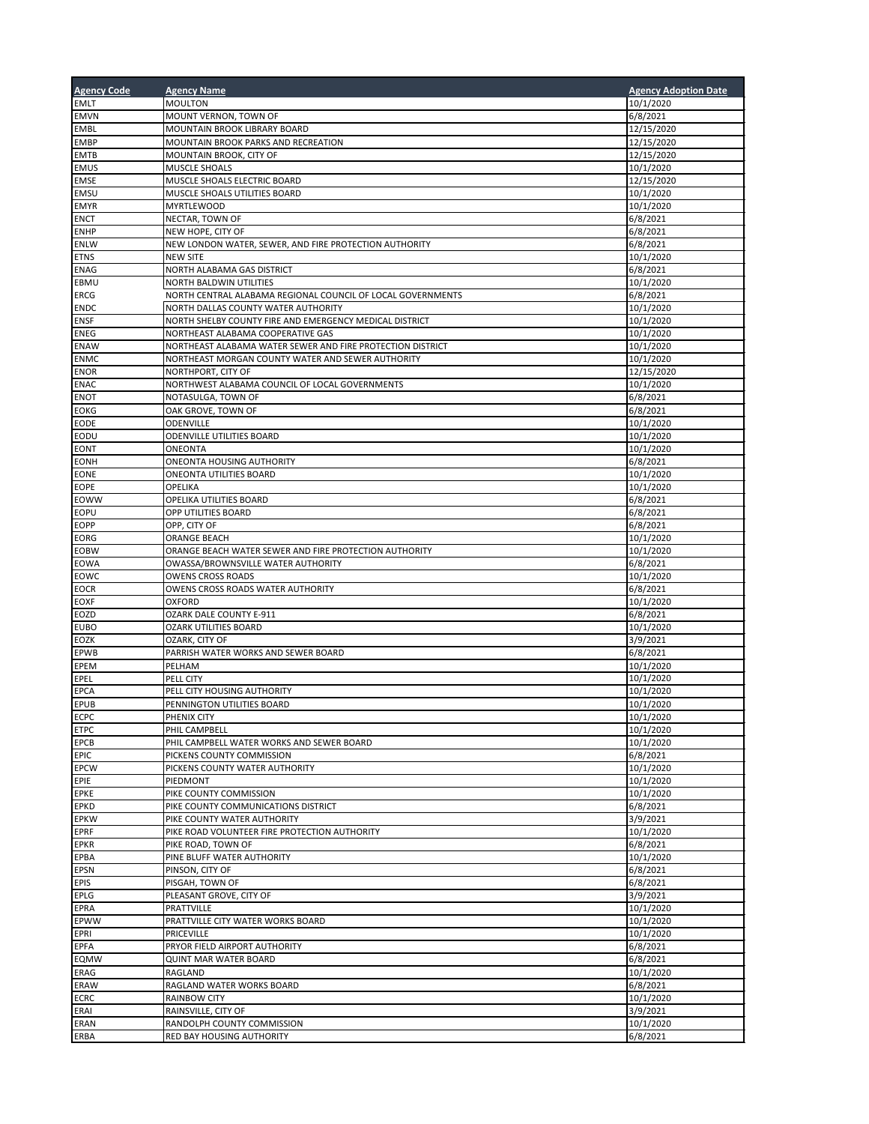| <b>Agency Code</b>         | <b>Agency Name</b>                                                        | <b>Agency Adoption Date</b> |
|----------------------------|---------------------------------------------------------------------------|-----------------------------|
| <b>EMLT</b>                | <b>MOULTON</b>                                                            | 10/1/2020                   |
| <b>EMVN</b>                | MOUNT VERNON, TOWN OF                                                     | 6/8/2021                    |
| <b>EMBL</b>                | MOUNTAIN BROOK LIBRARY BOARD                                              | 12/15/2020                  |
| <b>EMBP</b>                | MOUNTAIN BROOK PARKS AND RECREATION                                       | 12/15/2020                  |
| <b>EMTB</b>                | MOUNTAIN BROOK, CITY OF                                                   | 12/15/2020                  |
| <b>EMUS</b>                | <b>MUSCLE SHOALS</b>                                                      | 10/1/2020                   |
| <b>EMSE</b>                | MUSCLE SHOALS ELECTRIC BOARD                                              | 12/15/2020                  |
| <b>EMSU</b>                | MUSCLE SHOALS UTILITIES BOARD                                             | 10/1/2020                   |
| <b>EMYR</b>                | <b>MYRTLEWOOD</b>                                                         | 10/1/2020                   |
| <b>ENCT</b>                | NECTAR, TOWN OF                                                           | 6/8/2021                    |
| <b>ENHP</b>                | NEW HOPE, CITY OF                                                         | 6/8/2021                    |
| <b>ENLW</b><br><b>ETNS</b> | NEW LONDON WATER, SEWER, AND FIRE PROTECTION AUTHORITY<br><b>NEW SITE</b> | 6/8/2021<br>10/1/2020       |
| <b>ENAG</b>                | NORTH ALABAMA GAS DISTRICT                                                | 6/8/2021                    |
| EBMU                       | <b>NORTH BALDWIN UTILITIES</b>                                            | 10/1/2020                   |
| <b>ERCG</b>                | NORTH CENTRAL ALABAMA REGIONAL COUNCIL OF LOCAL GOVERNMENTS               | 6/8/2021                    |
| <b>ENDC</b>                | NORTH DALLAS COUNTY WATER AUTHORITY                                       | 10/1/2020                   |
| <b>ENSF</b>                | NORTH SHELBY COUNTY FIRE AND EMERGENCY MEDICAL DISTRICT                   | 10/1/2020                   |
| <b>ENEG</b>                | NORTHEAST ALABAMA COOPERATIVE GAS                                         | 10/1/2020                   |
| <b>ENAW</b>                | NORTHEAST ALABAMA WATER SEWER AND FIRE PROTECTION DISTRICT                | 10/1/2020                   |
| <b>ENMC</b>                | NORTHEAST MORGAN COUNTY WATER AND SEWER AUTHORITY                         | 10/1/2020                   |
| <b>ENOR</b>                | NORTHPORT, CITY OF                                                        | 12/15/2020                  |
| <b>ENAC</b>                | NORTHWEST ALABAMA COUNCIL OF LOCAL GOVERNMENTS                            | 10/1/2020                   |
| <b>ENOT</b>                | NOTASULGA, TOWN OF                                                        | 6/8/2021                    |
| <b>EOKG</b>                | OAK GROVE, TOWN OF                                                        | 6/8/2021                    |
| <b>EODE</b>                | ODENVILLE                                                                 | 10/1/2020                   |
| EODU                       | ODENVILLE UTILITIES BOARD                                                 | 10/1/2020                   |
| EONT                       | ONEONTA                                                                   | 10/1/2020                   |
| EONH<br>EONE               | ONEONTA HOUSING AUTHORITY<br>ONEONTA UTILITIES BOARD                      | 6/8/2021                    |
| EOPE                       | OPELIKA                                                                   | 10/1/2020<br>10/1/2020      |
| EOWW                       | OPELIKA UTILITIES BOARD                                                   | 6/8/2021                    |
| EOPU                       | OPP UTILITIES BOARD                                                       | 6/8/2021                    |
| EOPP                       | OPP, CITY OF                                                              | 6/8/2021                    |
| EORG                       | ORANGE BEACH                                                              | 10/1/2020                   |
| EOBW                       | ORANGE BEACH WATER SEWER AND FIRE PROTECTION AUTHORITY                    | 10/1/2020                   |
| <b>EOWA</b>                | OWASSA/BROWNSVILLE WATER AUTHORITY                                        | 6/8/2021                    |
| EOWC                       | <b>OWENS CROSS ROADS</b>                                                  | 10/1/2020                   |
| EOCR                       | OWENS CROSS ROADS WATER AUTHORITY                                         | 6/8/2021                    |
| EOXF                       | <b>OXFORD</b>                                                             | 10/1/2020                   |
| EOZD                       | OZARK DALE COUNTY E-911                                                   | 6/8/2021                    |
| <b>EUBO</b>                | <b>OZARK UTILITIES BOARD</b>                                              | 10/1/2020                   |
| EOZK                       | OZARK, CITY OF                                                            | 3/9/2021                    |
| EPWB                       | PARRISH WATER WORKS AND SEWER BOARD                                       | 6/8/2021                    |
| EPEM                       | PELHAM                                                                    | 10/1/2020                   |
| EPEL<br><b>EPCA</b>        | PELL CITY                                                                 | 10/1/2020                   |
| <b>EPUB</b>                | PELL CITY HOUSING AUTHORITY<br>PENNINGTON UTILITIES BOARD                 | 10/1/2020<br>10/1/2020      |
| <b>ECPC</b>                | PHENIX CITY                                                               | 10/1/2020                   |
| <b>ETPC</b>                | PHIL CAMPBELL                                                             | 10/1/2020                   |
| EPCB                       | PHIL CAMPBELL WATER WORKS AND SEWER BOARD                                 | 10/1/2020                   |
| <b>EPIC</b>                | PICKENS COUNTY COMMISSION                                                 | 6/8/2021                    |
| <b>EPCW</b>                | PICKENS COUNTY WATER AUTHORITY                                            | 10/1/2020                   |
| EPIE                       | PIEDMONT                                                                  | 10/1/2020                   |
| <b>EPKE</b>                | PIKE COUNTY COMMISSION                                                    | 10/1/2020                   |
| <b>EPKD</b>                | PIKE COUNTY COMMUNICATIONS DISTRICT                                       | 6/8/2021                    |
| <b>EPKW</b>                | PIKE COUNTY WATER AUTHORITY                                               | 3/9/2021                    |
| <b>EPRF</b>                | PIKE ROAD VOLUNTEER FIRE PROTECTION AUTHORITY                             | 10/1/2020                   |
| <b>EPKR</b>                | PIKE ROAD, TOWN OF                                                        | 6/8/2021                    |
| EPBA                       | PINE BLUFF WATER AUTHORITY                                                | 10/1/2020                   |
| <b>EPSN</b>                | PINSON, CITY OF                                                           | 6/8/2021                    |
| <b>EPIS</b>                | PISGAH, TOWN OF<br>PLEASANT GROVE, CITY OF                                | 6/8/2021                    |
| EPLG<br>EPRA               | <b>PRATTVILLE</b>                                                         | 3/9/2021<br>10/1/2020       |
| EPWW                       | PRATTVILLE CITY WATER WORKS BOARD                                         | 10/1/2020                   |
| EPRI                       | <b>PRICEVILLE</b>                                                         | 10/1/2020                   |
| <b>EPFA</b>                | PRYOR FIELD AIRPORT AUTHORITY                                             | 6/8/2021                    |
| <b>EQMW</b>                | QUINT MAR WATER BOARD                                                     | 6/8/2021                    |
| ERAG                       | RAGLAND                                                                   | 10/1/2020                   |
| ERAW                       | RAGLAND WATER WORKS BOARD                                                 | 6/8/2021                    |
| <b>ECRC</b>                | <b>RAINBOW CITY</b>                                                       | 10/1/2020                   |
| ERAI                       | RAINSVILLE, CITY OF                                                       | 3/9/2021                    |
| ERAN                       | RANDOLPH COUNTY COMMISSION                                                | 10/1/2020                   |
| ERBA                       | RED BAY HOUSING AUTHORITY                                                 | 6/8/2021                    |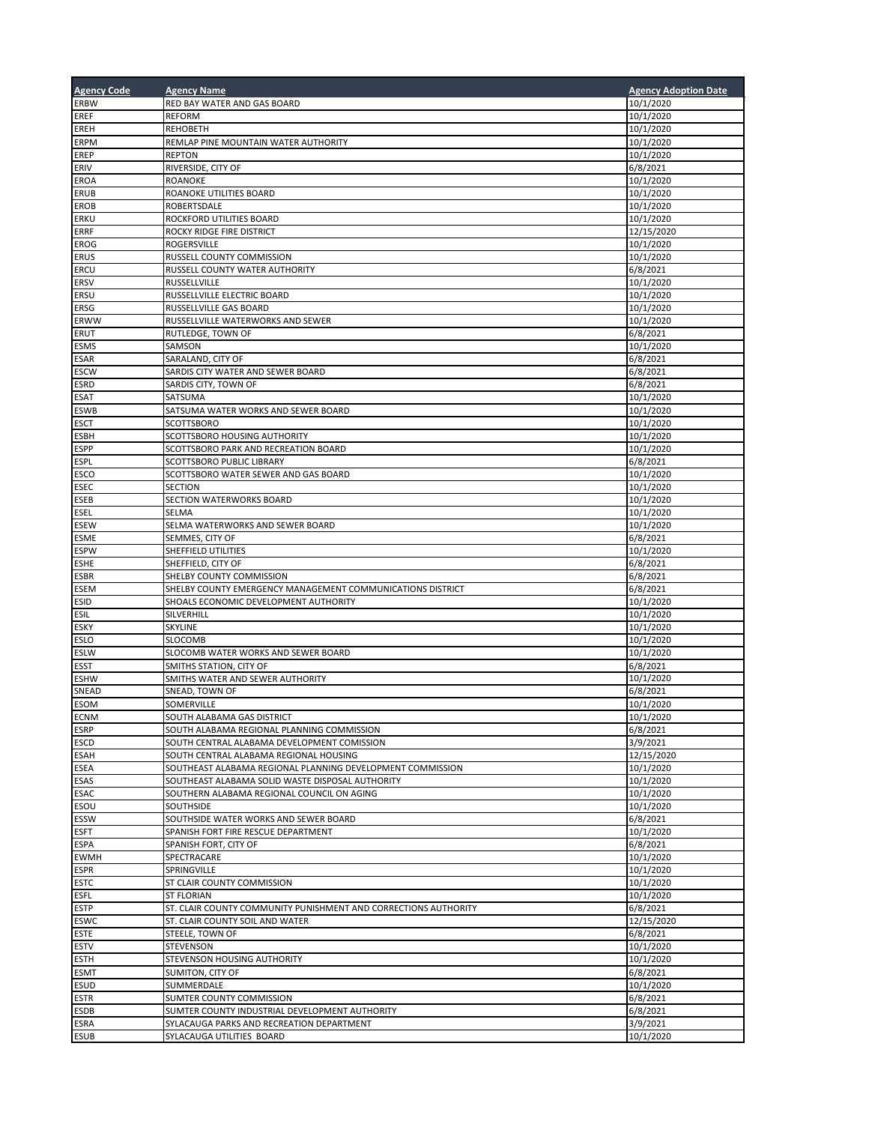| <b>Agency Code</b> | <b>Agency Name</b>                                                                             | <b>Agency Adoption Date</b> |
|--------------------|------------------------------------------------------------------------------------------------|-----------------------------|
| <b>ERBW</b>        | RED BAY WATER AND GAS BOARD                                                                    | 10/1/2020                   |
| EREF               | REFORM                                                                                         | 10/1/2020                   |
| EREH               | <b>REHOBETH</b>                                                                                | 10/1/2020                   |
| ERPM               | REMLAP PINE MOUNTAIN WATER AUTHORITY                                                           | 10/1/2020                   |
| EREP               | <b>REPTON</b>                                                                                  | 10/1/2020                   |
| ERIV<br>EROA       | RIVERSIDE, CITY OF<br><b>ROANOKE</b>                                                           | 6/8/2021<br>10/1/2020       |
| ERUB               | ROANOKE UTILITIES BOARD                                                                        | 10/1/2020                   |
| EROB               | ROBERTSDALE                                                                                    | 10/1/2020                   |
| ERKU               | ROCKFORD UTILITIES BOARD                                                                       | 10/1/2020                   |
| ERRF               | ROCKY RIDGE FIRE DISTRICT                                                                      | 12/15/2020                  |
| EROG               | ROGERSVILLE                                                                                    | 10/1/2020                   |
| ERUS               | RUSSELL COUNTY COMMISSION                                                                      | 10/1/2020                   |
| ERCU               | RUSSELL COUNTY WATER AUTHORITY                                                                 | 6/8/2021                    |
| ERSV               | RUSSELLVILLE                                                                                   | 10/1/2020                   |
| ERSU               | RUSSELLVILLE ELECTRIC BOARD                                                                    | 10/1/2020                   |
| ERSG<br>ERWW       | RUSSELLVILLE GAS BOARD<br>RUSSELLVILLE WATERWORKS AND SEWER                                    | 10/1/2020<br>10/1/2020      |
| ERUT               | RUTLEDGE, TOWN OF                                                                              | 6/8/2021                    |
| ESMS               | SAMSON                                                                                         | 10/1/2020                   |
| ESAR               | SARALAND, CITY OF                                                                              | 6/8/2021                    |
| ESCW               | SARDIS CITY WATER AND SEWER BOARD                                                              | 6/8/2021                    |
| ESRD               | SARDIS CITY, TOWN OF                                                                           | 6/8/2021                    |
| ESAT               | SATSUMA                                                                                        | 10/1/2020                   |
| ESWB               | SATSUMA WATER WORKS AND SEWER BOARD                                                            | 10/1/2020                   |
| ESCT               | SCOTTSBORO                                                                                     | 10/1/2020                   |
| ESBH               | SCOTTSBORO HOUSING AUTHORITY                                                                   | 10/1/2020                   |
| ESPP               | SCOTTSBORO PARK AND RECREATION BOARD                                                           | 10/1/2020                   |
| ESPL<br>ESCO       | SCOTTSBORO PUBLIC LIBRARY                                                                      | 6/8/2021                    |
| ESEC               | SCOTTSBORO WATER SEWER AND GAS BOARD<br><b>SECTION</b>                                         | 10/1/2020<br>10/1/2020      |
| ESEB               | SECTION WATERWORKS BOARD                                                                       | 10/1/2020                   |
| ESEL               | SELMA                                                                                          | 10/1/2020                   |
| ESEW               | SELMA WATERWORKS AND SEWER BOARD                                                               | 10/1/2020                   |
| ESME               | SEMMES, CITY OF                                                                                | 6/8/2021                    |
| <b>ESPW</b>        | SHEFFIELD UTILITIES                                                                            | 10/1/2020                   |
| ESHE               | SHEFFIELD, CITY OF                                                                             | 6/8/2021                    |
| ESBR               | SHELBY COUNTY COMMISSION                                                                       | 6/8/2021                    |
| ESEM               | SHELBY COUNTY EMERGENCY MANAGEMENT COMMUNICATIONS DISTRICT                                     | 6/8/2021                    |
| Esid               | SHOALS ECONOMIC DEVELOPMENT AUTHORITY                                                          | 10/1/2020                   |
| esil               | SILVERHILL                                                                                     | 10/1/2020                   |
| ESKY<br>ESLO       | SKYLINE<br>SLOCOMB                                                                             | 10/1/2020<br>10/1/2020      |
| ESLW               | SLOCOMB WATER WORKS AND SEWER BOARD                                                            | 10/1/2020                   |
| ESST               | SMITHS STATION, CITY OF                                                                        | 6/8/2021                    |
| ESHW               | SMITHS WATER AND SEWER AUTHORITY                                                               | 10/1/2020                   |
| SNEAD              | SNEAD, TOWN OF                                                                                 | 6/8/2021                    |
| <b>ESOM</b>        | SOMERVILLE                                                                                     | 10/1/2020                   |
| <b>ECNM</b>        | SOUTH ALABAMA GAS DISTRICT                                                                     | 10/1/2020                   |
| ESRP               | SOUTH ALABAMA REGIONAL PLANNING COMMISSION                                                     | 6/8/2021                    |
| ESCD               | SOUTH CENTRAL ALABAMA DEVELOPMENT COMISSION                                                    | 3/9/2021                    |
| ESAH               | SOUTH CENTRAL ALABAMA REGIONAL HOUSING                                                         | 12/15/2020                  |
| ESEA               | SOUTHEAST ALABAMA REGIONAL PLANNING DEVELOPMENT COMMISSION                                     | 10/1/2020                   |
| ESAS<br>ESAC       | SOUTHEAST ALABAMA SOLID WASTE DISPOSAL AUTHORITY<br>SOUTHERN ALABAMA REGIONAL COUNCIL ON AGING | 10/1/2020<br>10/1/2020      |
| ESOU               | SOUTHSIDE                                                                                      |                             |
| ESSW               | SOUTHSIDE WATER WORKS AND SEWER BOARD                                                          | 10/1/2020<br>6/8/2021       |
| <b>ESFT</b>        | SPANISH FORT FIRE RESCUE DEPARTMENT                                                            | 10/1/2020                   |
| ESPA               | SPANISH FORT, CITY OF                                                                          | 6/8/2021                    |
| EWMH               | SPECTRACARE                                                                                    | 10/1/2020                   |
| ESPR               | SPRINGVILLE                                                                                    | 10/1/2020                   |
| ESTC               | ST CLAIR COUNTY COMMISSION                                                                     | 10/1/2020                   |
| ESFL               | <b>ST FLORIAN</b>                                                                              | 10/1/2020                   |
| ESTP               | ST. CLAIR COUNTY COMMUNITY PUNISHMENT AND CORRECTIONS AUTHORITY                                | 6/8/2021                    |
| ESWC               | ST. CLAIR COUNTY SOIL AND WATER                                                                | 12/15/2020                  |
| <b>ESTE</b>        | STEELE, TOWN OF                                                                                | 6/8/2021                    |
| ESTV<br>ESTH       | STEVENSON<br>STEVENSON HOUSING AUTHORITY                                                       | 10/1/2020<br>10/1/2020      |
| ESMT               | SUMITON, CITY OF                                                                               | 6/8/2021                    |
| ESUD               | SUMMERDALE                                                                                     | 10/1/2020                   |
| ESTR               | SUMTER COUNTY COMMISSION                                                                       | 6/8/2021                    |
| ESDB               | SUMTER COUNTY INDUSTRIAL DEVELOPMENT AUTHORITY                                                 | 6/8/2021                    |
| ESRA               | SYLACAUGA PARKS AND RECREATION DEPARTMENT                                                      | 3/9/2021                    |
| ESUB               | SYLACAUGA UTILITIES BOARD                                                                      | 10/1/2020                   |